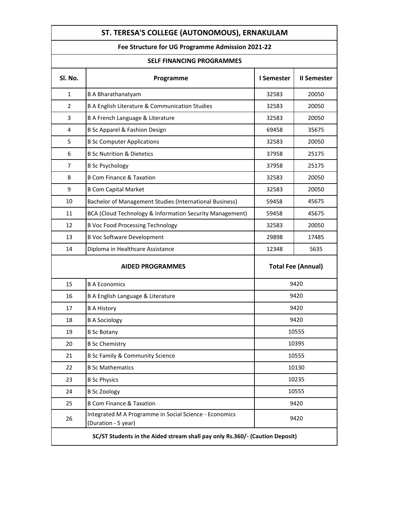| ST. TERESA'S COLLEGE (AUTONOMOUS), ERNAKULAM                                 |                                                                               |                           |                    |  |  |
|------------------------------------------------------------------------------|-------------------------------------------------------------------------------|---------------------------|--------------------|--|--|
| Fee Structure for UG Programme Admission 2021-22                             |                                                                               |                           |                    |  |  |
| <b>SELF FINANCING PROGRAMMES</b>                                             |                                                                               |                           |                    |  |  |
| Sl. No.                                                                      | Programme                                                                     | I Semester                | <b>II Semester</b> |  |  |
| $\mathbf{1}$                                                                 | <b>B A Bharathanatyam</b>                                                     | 32583                     | 20050              |  |  |
| 2                                                                            | B A English Literature & Communication Studies                                | 32583                     | 20050              |  |  |
| 3                                                                            | B A French Language & Literature                                              | 32583                     | 20050              |  |  |
| 4                                                                            | B Sc Apparel & Fashion Design                                                 | 69458                     | 35675              |  |  |
| 5                                                                            | <b>B Sc Computer Applications</b>                                             | 32583                     | 20050              |  |  |
| 6                                                                            | <b>B Sc Nutrition &amp; Dietetics</b>                                         | 37958                     | 25175              |  |  |
| 7                                                                            | <b>B Sc Psychology</b>                                                        | 37958                     | 25175              |  |  |
| 8                                                                            | <b>B Com Finance &amp; Taxation</b>                                           | 32583                     | 20050              |  |  |
| 9                                                                            | <b>B Com Capital Market</b>                                                   | 32583                     | 20050              |  |  |
| 10                                                                           | Bachelor of Management Studies (International Business)                       | 59458                     | 45675              |  |  |
| 11                                                                           | BCA (Cloud Technology & Information Security Management)                      | 59458                     | 45675              |  |  |
| 12                                                                           | <b>B Voc Food Processing Technology</b>                                       | 32583                     | 20050              |  |  |
| 13                                                                           | <b>B Voc Software Development</b>                                             | 29898                     | 17485              |  |  |
| 14                                                                           | Diploma in Healthcare Assistance                                              | 12348                     | 5635               |  |  |
| <b>AIDED PROGRAMMES</b>                                                      |                                                                               | <b>Total Fee (Annual)</b> |                    |  |  |
| 15                                                                           | <b>B A Economics</b>                                                          | 9420                      |                    |  |  |
| 16                                                                           | B A English Language & Literature                                             | 9420                      |                    |  |  |
| 17                                                                           | <b>B A History</b>                                                            | 9420                      |                    |  |  |
| 18                                                                           | <b>B A Sociology</b>                                                          | 9420                      |                    |  |  |
| 19                                                                           | <b>B</b> Sc Botany                                                            | 10555                     |                    |  |  |
| 20                                                                           | <b>B Sc Chemistry</b>                                                         | 10395                     |                    |  |  |
| 21                                                                           | <b>B Sc Family &amp; Community Science</b>                                    | 10555                     |                    |  |  |
| 22                                                                           | <b>B Sc Mathematics</b>                                                       | 10130                     |                    |  |  |
| 23                                                                           | <b>B Sc Physics</b>                                                           | 10235                     |                    |  |  |
| 24                                                                           | <b>B</b> Sc Zoology                                                           | 10555                     |                    |  |  |
| 25                                                                           | <b>B Com Finance &amp; Taxation</b>                                           | 9420                      |                    |  |  |
| 26                                                                           | Integrated M A Programme in Social Science - Economics<br>(Duration - 5 year) | 9420                      |                    |  |  |
| SC/ST Students in the Aided stream shall pay only Rs.360/- (Caution Deposit) |                                                                               |                           |                    |  |  |